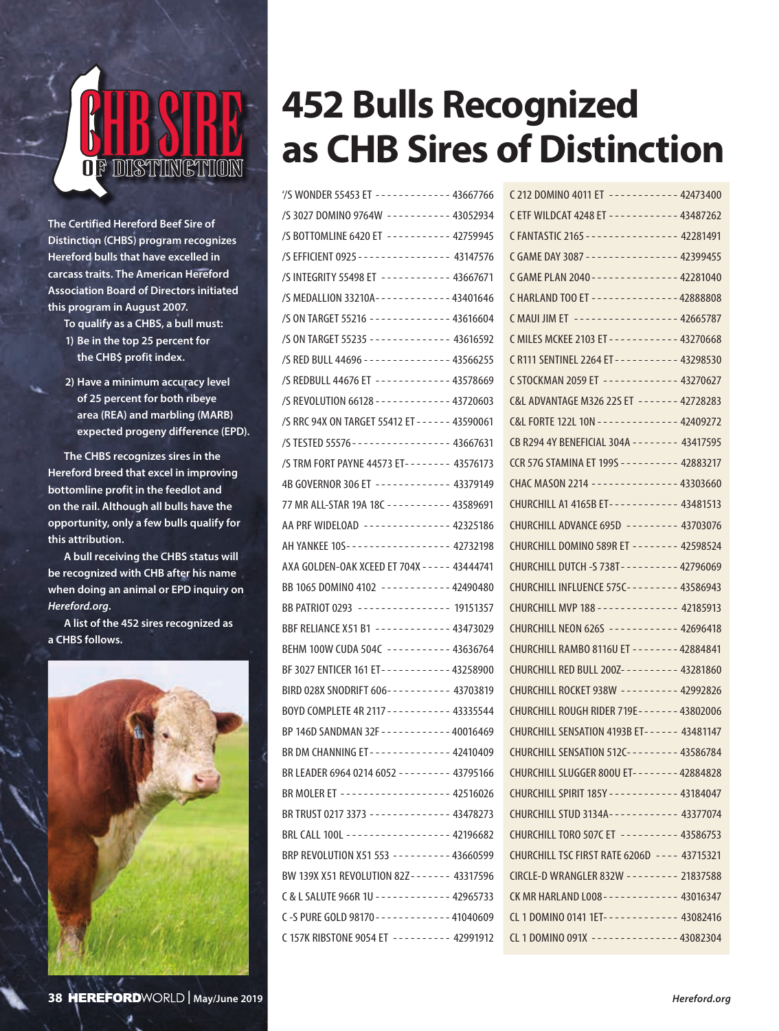

**The Certified Hereford Beef Sire of Distinction (CHBS) program recognizes Hereford bulls that have excelled in carcass traits. The American Hereford Association Board of Directors initiated this program in August 2007.**

- **To qualify as a CHBS, a bull must: 1) Be in the top 25 percent for the CHB\$ profit index.**
- **2) Have a minimum accuracy level of 25 percent for both ribeye area (REA) and marbling (MARB) expected progeny difference (EPD).**

**The CHBS recognizes sires in the Hereford breed that excel in improving bottomline profit in the feedlot and on the rail. Although all bulls have the opportunity, only a few bulls qualify for this attribution.** 

**A bull receiving the CHBS status will be recognized with CHB after his name when doing an animal or EPD inquiry on** *Hereford.org***.**

**A list of the 452 sires recognized as a CHBS follows.**



## **452 Bulls Recognized as CHB Sires of Distinction**

| /S WONDER 55453 ET ------------ 43667766                 |
|----------------------------------------------------------|
| /S 3027 DOMINO 9764W ---------- 43052934                 |
| /S BOTTOMLINE 6420 ET ---------- 42759945                |
| /S EFFICIENT 0925 - - - - - - - - - - - - - - - 43147576 |
| /S INTEGRITY 55498 ET ----------- 43667671               |
| /S MEDALLION 33210A------------43401646                  |
| /S ON TARGET 55216 ------------- 43616604                |
| /S ON TARGET 55235 ------------- 43616592                |
| /S RED BULL 44696 - - - - - - - - - - - - - - 43566255   |
| /S REDBULL 44676 ET ------------ 43578669                |
| /S REVOLUTION 66128 ------------ 43720603                |
| /S RRC 94X ON TARGET 55412 ET - - - - - - 43590061       |
| /S TESTED 55576---------------- 43667631                 |
| /S TRM FORT PAYNE 44573 ET------- 43576173               |
| 4B GOVERNOR 306 ET ------------ 43379149                 |
| 77 MR ALL-STAR 19A 18C ---------- 43589691               |
| AA PRF WIDELOAD -------------- 42325186                  |
| AH YANKEE 10S----------------- 42732198                  |
| AXA GOLDEN-OAK XCEED ET 704X - - - - - 43444741          |
| BB 1065 DOMINO 4102 -----------42490480                  |
| BB PATRIOT 0293 ---------------- 19151357                |
| BBF RELIANCE X51 B1 ------------ 43473029                |
| BEHM 100W CUDA 504C ---------- 43636764                  |
| BF 3027 ENTICER 161 ET - - - - - - - - - - - 43258900    |
| BIRD 028X SNODRIFT 606---------- 43703819                |
| BOYD COMPLETE 4R 2117 - - - - - - - - - - 43335544       |
| BP 146D SANDMAN 32F - - - - - - - - - - - - 40016469     |
| BR DM CHANNING ET ------------- 42410409                 |
| BR LEADER 6964 0214 6052 -------- 43795166               |
| BR MOLER ET ------------------- 42516026                 |
| BR TRUST 0217 3373 ------------- 43478273                |
| BRL CALL 100L ------------------ 42196682                |
| BRP REVOLUTION X51 553 --------- 43660599                |
| BW 139X X51 REVOLUTION 82Z------- 43317596               |
| C & L SALUTE 966R 1U - - - - - - - - - - - - 42965733    |
| C-S PURE GOLD 98170 - - - - - - - - - - - - 41040609     |
| C 157K RIBSTONE 9054 ET --------- 42991912               |

| C 212 DOMINO 4011 ET ----------- 42473400               |  |
|---------------------------------------------------------|--|
| CETF WILDCAT 4248 ET - - - - - - - - - - - 43487262     |  |
| C FANTASTIC 2165 - - - - - - - - - - - - - - - 42281491 |  |
| C GAME DAY 3087 --------------- 42399455                |  |
| C GAME PLAN 2040 - - - - - - - - - - - - - - 42281040   |  |
| C HARLAND TOO ET - - - - - - - - - - - - - - 42888808   |  |
| C MAUI JIM ET ----------------- 42665787                |  |
| C MILES MCKEE 2103 ET - - - - - - - - - - - 43270668    |  |
| C R111 SENTINEL 2264 ET - - - - - - - - - - 43298530    |  |
| C STOCKMAN 2059 ET ------------ 43270627                |  |
| C&L ADVANTAGE M326 22S ET ------- 42728283              |  |
| C&L FORTE 122L 10N - - - - - - - - - - - - - 42409272   |  |
| CB R294 4Y BENEFICIAL 304A - - - - - - - - 43417595     |  |
| CCR 57G STAMINA ET 199S - - - - - - - - - - 42883217    |  |
| CHAC MASON 2214 -------------- 43303660                 |  |
| CHURCHILL A1 4165B ET----------- 43481513               |  |
| CHURCHILL ADVANCE 695D -------- 43703076                |  |
| CHURCHILL DOMINO 589R ET ------- 42598524               |  |
| CHURCHILL DUTCH -S 738T---------- 42796069              |  |
| CHURCHILL INFLUENCE 575C-------- 43586943               |  |
| CHURCHILL MVP 188 - - - - - - - - - - - - - - 42185913  |  |
| CHURCHILL NEON 626S ----------- 42696418                |  |
| CHURCHILL RAMBO 8116U ET - - - - - - - - 42884841       |  |
| CHURCHILL RED BULL 200Z--------- 43281860               |  |
| CHURCHILL ROCKET 938W --------- 42992826                |  |
| CHURCHILL ROUGH RIDER 719E - - - - - - - 43802006       |  |
| CHURCHILL SENSATION 4193B ET------ 43481147             |  |
| CHURCHILL SENSATION 512C--------- 43586784              |  |
| CHURCHILL SLUGGER 800U ET- - - - - - - - 42884828       |  |
| CHURCHILL SPIRIT 185Y - - - - - - - - - - - - 43184047  |  |
| CHURCHILL STUD 3134A----------- 43377074                |  |
| CHURCHILL TORO 507C ET --------- 43586753               |  |
| CHURCHILL TSC FIRST RATE 6206D ---- 43715321            |  |
| CIRCLE-D WRANGLER 832W -------- 21837588                |  |
| CK MR HARLAND L008 - - - - - - - - - - - - 43016347     |  |
| CL 1 DOMINO 0141 1ET------------ 43082416               |  |
| CL 1 DOMINO 091X --------------- 43082304               |  |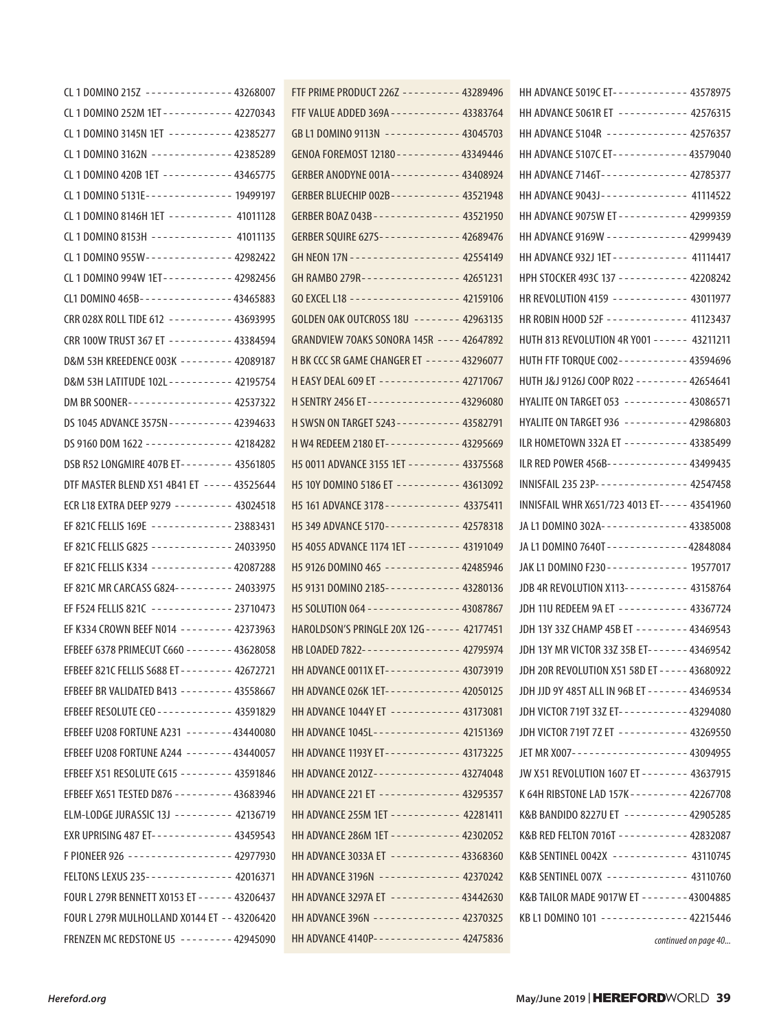| CL 1 DOMINO 215Z -------------- 43268007               |
|--------------------------------------------------------|
| CL 1 DOMINO 252M 1ET - - - - - - - - - - - 42270343    |
| CL 1 DOMINO 3145N 1ET ---------- 42385277              |
| CL 1 DOMINO 3162N ------------- 42385289               |
| CL 1 DOMINO 420B 1ET ----------- 43465775              |
| CL 1 DOMINO 5131E -------------- 19499197              |
| CL 1 DOMINO 8146H 1ET ---------- 41011128              |
| CL 1 DOMINO 8153H ------------- 41011135               |
| CL 1 DOMINO 955W - - - - - - - - - - - - - - 42982422  |
| CL 1 DOMINO 994W 1ET - - - - - - - - - - - 42982456    |
| CL1 DOMINO 465B---------------43465883                 |
| CRR 028X ROLL TIDE 612 ---------- 43693995             |
| CRR 100W TRUST 367 ET ---------- 43384594              |
| D&M 53H KREEDENCE 003K -------- 42089187               |
| D&M 53H LATITUDE 102L - - - - - - - - - - 42195754     |
| DM BR SOONER----------------- 42537322                 |
| DS 1045 ADVANCE 3575N - - - - - - - - - - - 42394633   |
| DS 9160 DOM 1622 -------------- 42184282               |
| DSB R52 LONGMIRE 407B ET-------- 43561805              |
| DTF MASTER BLEND X51 4B41 ET ----- 43525644            |
| ECR L18 EXTRA DEEP 9279 --------- 43024518             |
| EF 821C FELLIS 169E ------------- 23883431             |
| EF 821C FELLIS G825 ------------- 24033950             |
| EF 821C FELLIS K334 ------------- 42087288             |
| EF 821C MR CARCASS G824--------- 24033975              |
| EF F524 FELLIS 821C ------------- 23710473             |
| EF K334 CROWN BEEF N014 -------- 42373963              |
| EFBEEF 6378 PRIMECUT C660 - - - - - - - - 43628058     |
| EFBEEF 821C FELLIS S688 ET - - - - - - - - - 42672721  |
| EFBEEF BR VALIDATED B413 -------- 43558667             |
| EFBEEF RESOLUTE CEO - - - - - - - - - - - - - 43591829 |
| EFBEEF U208 FORTUNE A231 -------43440080               |
| EFBEEF U208 FORTUNE A244 -------43440057               |
| EFBEEF X51 RESOLUTE C615 -------- 43591846             |
| EFBEEF X651 TESTED D876 --------- 43683946             |
| ELM-LODGE JURASSIC 13J --------- 42136719              |
| EXR UPRISING 487 ET------------- 43459543              |
| F PIONEER 926 ----------------- 42977930               |
| FELTONS LEXUS 235 - - - - - - - - - - - - - - 42016371 |
| FOUR L 279R BENNETT X0153 ET - - - - - - 43206437      |
| FOUR L 279R MULHOLLAND X0144 ET -- 43206420            |
| FRENZEN MC REDSTONE U5 -------- 42945090               |

| FTF PRIME PRODUCT 226Z --------- 43289496                |  |
|----------------------------------------------------------|--|
| FTF VALUE ADDED 369A - - - - - - - - - - - 43383764      |  |
| GB L1 DOMINO 9113N ------------ 43045703                 |  |
| GENOA FOREMOST 12180 - - - - - - - - - - - 43349446      |  |
| GERBER ANODYNE 001A - - - - - - - - - - - 43408924       |  |
| GERBER BLUECHIP 002B----------- 43521948                 |  |
| GERBER BOAZ 043B - - - - - - - - - - - - - - 43521950    |  |
| GERBER SQUIRE 627S------------- 42689476                 |  |
| GH NEON 17N - - - - - - - - - - - - - - - - - - 42554149 |  |
| GH RAMBO 279R---------------- 42651231                   |  |
| GO EXCEL L18 ------------------ 42159106                 |  |
| GOLDEN OAK OUTCROSS 18U ------- 42963135                 |  |
| GRANDVIEW 70AKS SONORA 145R ---- 42647892                |  |
| H BK CCC SR GAME CHANGER ET ------ 43296077              |  |
| H EASY DEAL 609 ET ------------- 42717067                |  |
| H SENTRY 2456 ET - - - - - - - - - - - - - - - 43296080  |  |
| H SWSN ON TARGET 5243 - - - - - - - - - - 43582791       |  |
| H W4 REDEEM 2180 ET------------ 43295669                 |  |
| H5 0011 ADVANCE 3155 1ET - - - - - - - - 43375568        |  |
| H5 10Y DOMINO 5186 ET ---------- 43613092                |  |
| H5 161 ADVANCE 3178 - - - - - - - - - - - - 43375411     |  |
| H5 349 ADVANCE 5170------------ 42578318                 |  |
| H5 4055 ADVANCE 1174 1ET - - - - - - - - - 43191049      |  |
| H5 9126 DOMINO 465 ------------ 42485946                 |  |
| H5 9131 DOMINO 2185------------ 43280136                 |  |
| H5 SOLUTION 064 --------------- 43087867                 |  |
| HAROLDSON'S PRINGLE 20X 12G - - - - - - 42177451         |  |
| HB LOADED 7822----------------- 42795974                 |  |
| HH ADVANCE 0011X ET------------ 43073919                 |  |
| HH ADVANCE 026K 1ET------------ 42050125                 |  |
| HH ADVANCE 1044Y ET ----------- 43173081                 |  |
| HH ADVANCE 1045L-------------- 42151369                  |  |
| HH ADVANCE 1193Y ET------------ 43173225                 |  |
| HH ADVANCE 2012Z--------------- 43274048                 |  |
|                                                          |  |
| HH ADVANCE 255M 1ET ----------- 42281411                 |  |
| HH ADVANCE 286M 1ET - - - - - - - - - - - 42302052       |  |
| HH ADVANCE 3033A ET ----------- 43368360                 |  |
| HH ADVANCE 3196N -------------- 42370242                 |  |
| HH ADVANCE 3297A ET ----------- 43442630                 |  |
| HH ADVANCE 396N --------------- 42370325                 |  |
| HH ADVANCE 4140P-------------- 42475836                  |  |
|                                                          |  |

| HH ADVANCE 5019C ET------------ 43578975               |
|--------------------------------------------------------|
| HH ADVANCE 5061R ET ----------- 42576315               |
| HH ADVANCE 5104R ------------- 42576357                |
| HH ADVANCE 5107C ET------------43579040                |
| HH ADVANCE 7146T-------------- 42785377                |
| HH ADVANCE 9043J-------------- 41114522                |
| HH ADVANCE 9075W ET - - - - - - - - - - - 42999359     |
| HH ADVANCE 9169W ------------- 42999439                |
| HH ADVANCE 932J 1ET - - - - - - - - - - - - 41114417   |
| HPH STOCKER 493C 137 ----------- 42208242              |
| HR REVOLUTION 4159 ------------ 43011977               |
| HR ROBIN HOOD 52F ------------- 41123437               |
| HUTH 813 REVOLUTION 4R Y001 ------ 43211211            |
| HUTH FTF TORQUE C002-----------43594696                |
| HUTH J&J 9126J COOP R022 -------- 42654641             |
| HYALITE ON TARGET 053 ---------- 43086571              |
| HYALITE ON TARGET 936 ----------42986803               |
| ILR HOMETOWN 332A ET ---------- 43385499               |
| ILR RED POWER 456B------------- 43499435               |
| INNISFAIL 235 23P - - - - - - - - - - - - - - 42547458 |
| INNISFAIL WHR X651/723 4013 ET----- 43541960           |
| JA L1 DOMINO 302A - - - - - - - - - - - - - - 43385008 |
| JA L1 DOMINO 7640T - - - - - - - - - - - - - 42848084  |
| JAK L1 DOMINO F230 - - - - - - - - - - - - - 19577017  |
| JDB 4R REVOLUTION X113---------- 43158764              |
| JDH 11U REDEEM 9A ET ----------- 43367724              |
| JDH 13Y 33Z CHAMP 45B ET -------- 43469543             |
| JDH 13Y MR VICTOR 33Z 35B ET------- 43469542           |
| JDH 20R REVOLUTION X51 58D ET - - - - - 43680922       |
| JDH JJD 9Y 485T ALL IN 96B ET - - - - - - - 43469534   |
| JDH VICTOR 719T 33Z ET-----------43294080              |
| JDH VICTOR 719T 7Z ET ----------- 43269550             |
| JET MR X007------------------- 43094955                |
| JW X51 REVOLUTION 1607 ET ------- 43637915             |
| K 64H RIBSTONE LAD 157K - - - - - - - - - - 42267708   |
| K&B BANDIDO 8227U ET ----------42905285                |
| K&B RED FELTON 7016T ----------- 42832087              |
| K&B SENTINEL 0042X ------------ 43110745               |
| K&B SENTINEL 007X ------------- 43110760               |
| K&B TAILOR MADE 9017W ET -------43004885               |
| KB L1 DOMINO 101 -------------- 42215446               |
| continued on page 40                                   |
|                                                        |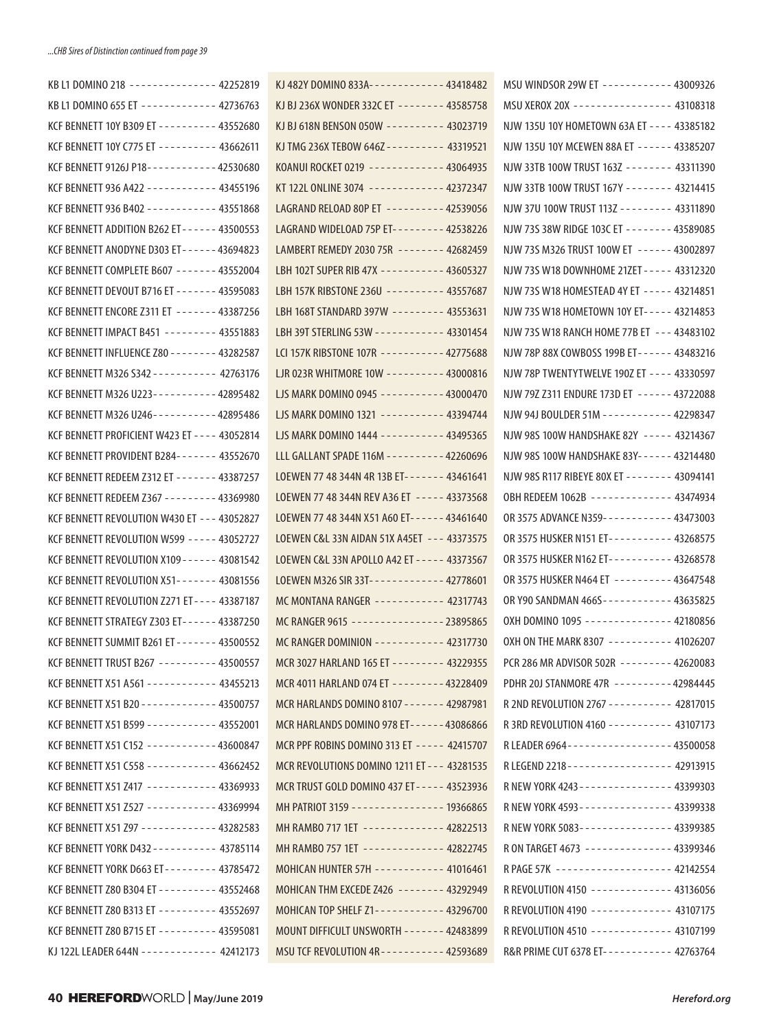| KB L1 DOMINO 655 ET ------------ 42736763              |
|--------------------------------------------------------|
|                                                        |
| KCF BENNETT 10Y C775 ET --------- 43662611             |
| KCF BENNETT 9126J P18-----------42530680               |
| KCF BENNETT 936 A422 ------------ 43455196             |
| KCF BENNETT 936 B402 - - - - - - - - - - - - 43551868  |
| KCF BENNETT ADDITION B262 ET------ 43500553            |
| KCF BENNETT ANODYNE D303 ET------ 43694823             |
|                                                        |
| KCF BENNETT DEVOUT B716 ET - - - - - - - 43595083      |
| KCF BENNETT ENCORE Z311 ET ------- 43387256            |
| KCF BENNETT IMPACT B451 -------- 43551883              |
| KCF BENNETT INFLUENCE Z80 - - - - - - - - 43282587     |
| KCF BENNETT M326 S342 - - - - - - - - - - - 42763176   |
| KCF BENNETT M326 U223-----------42895482               |
|                                                        |
| KCF BENNETT PROFICIENT W423 ET - - - - 43052814        |
| KCF BENNETT PROVIDENT B284------- 43552670             |
| KCF BENNETT REDEEM Z312 ET ------ 43387257             |
| KCF BENNETT REDEEM Z367 --------- 43369980             |
| KCF BENNETT REVOLUTION W430 ET --- 43052827            |
|                                                        |
| KCF BENNETT REVOLUTION X109 - - - - - - 43081542       |
| KCF BENNETT REVOLUTION X51------- 43081556             |
| KCF BENNETT REVOLUTION Z271 ET - - - - 43387187        |
| KCF BENNETT STRATEGY Z303 ET------ 43387250            |
| KCF BENNETT SUMMIT B261 ET - - - - - - - 43500552      |
|                                                        |
| KCF BENNETT X51 A561 ----------- 43455213              |
| KCF BENNETT X51 B20 - - - - - - - - - - - - - 43500757 |
| KCF BENNETT X51 B599 ------------ 43552001             |
| KCF BENNETT X51 C152 -----------43600847               |
| KCF BENNETT X51 C558 ----------- 43662452              |
| KCF BENNETT X51 Z417 ----------- 43369933              |
| KCF BENNETT X51 Z527 ------------ 43369994             |
| KCF BENNETT X51 Z97 ------------ 43282583              |
| KCF BENNETT YORK D432 - - - - - - - - - - - 43785114   |
| KCF BENNETT YORK D663 ET-------- 43785472              |
| KCF BENNETT Z80 B304 ET --------- 43552468             |
| KCF BENNETT Z80 B313 ET --------- 43552697             |
| KCF BENNETT Z80 B715 ET --------- 43595081             |
| KJ 122L LEADER 644N ------------ 42412173              |

| KJ 482Y DOMINO 833A------------ 43418482             |  |
|------------------------------------------------------|--|
| KJ BJ 236X WONDER 332C ET ------- 43585758           |  |
| KJ BJ 618N BENSON 050W ---------- 43023719           |  |
| KJ TMG 236X TEBOW 646Z - - - - - - - - - - 43319521  |  |
| KOANUI ROCKET 0219 ------------ 43064935             |  |
| KT 122L ONLINE 3074 ------------- 42372347           |  |
| LAGRAND RELOAD 80P ET --------- 42539056             |  |
|                                                      |  |
| LAMBERT REMEDY 2030 75R -------- 42682459            |  |
| LBH 102T SUPER RIB 47X ---------- 43605327           |  |
| LBH 157K RIBSTONE 236U --------- 43557687            |  |
|                                                      |  |
| LBH 39T STERLING 53W ----------- 43301454            |  |
| LCI 157K RIBSTONE 107R ---------- 42775688           |  |
|                                                      |  |
|                                                      |  |
| LJS MARK DOMINO 1321 ---------- 43394744             |  |
| LJS MARK DOMINO 1444 ---------- 43495365             |  |
|                                                      |  |
| LOEWEN 77 48 344N 4R 13B ET- - - - - - - 43461641    |  |
| LOEWEN 77 48 344N REV A36 ET ----- 43373568          |  |
| LOEWEN 77 48 344N X51 A60 ET- - - - - - 43461640     |  |
| LOEWEN C&L 33N AIDAN 51X A45ET  --- 43373575         |  |
| LOEWEN C&L 33N APOLLO A42 ET - - - - - 43373567      |  |
| LOEWEN M326 SIR 33T------------ 42778601             |  |
| MC MONTANA RANGER ----------- 42317743               |  |
| MC RANGER 9615 --------------- 23895865              |  |
| MC RANGER DOMINION ----------- 42317730              |  |
| MCR 3027 HARLAND 165 ET --------- 43229355           |  |
| MCR 4011 HARLAND 074 ET --------43228409             |  |
| MCR HARLANDS DOMINO 8107 - - - - - - - 42987981      |  |
| MCR HARLANDS DOMINO 978 ET------ 43086866            |  |
| MCR PPF ROBINS DOMINO 313 ET ----- 42415707          |  |
| MCR REVOLUTIONS DOMINO 1211 FT - - - 43281535        |  |
| MCR TRUST GOLD DOMINO 437 ET - - - - - 43523936      |  |
| MH PATRIOT 3159 ---------------- 19366865            |  |
| MH RAMBO 717 1ET ------------- 42822513              |  |
| MH RAMBO 757 1ET ------------- 42822745              |  |
| MOHICAN HUNTER 57H ----------- 41016461              |  |
| MOHICAN THM EXCEDE Z426 -------- 43292949            |  |
| MOHICAN TOP SHELF Z1----------- 43296700             |  |
| MOUNT DIFFICULT UNSWORTH ------- 42483899            |  |
| MSU TCF REVOLUTION 4R - - - - - - - - - - - 42593689 |  |

| MSU WINDSOR 29W ET ----------- 43009326                  |  |
|----------------------------------------------------------|--|
| MSU XEROX 20X ----------------- 43108318                 |  |
| NJW 135U 10Y HOMETOWN 63A ET - - - - 43385182            |  |
| NJW 135U 10Y MCEWEN 88A ET ------ 43385207               |  |
| NJW 33TB 100W TRUST 163Z -------- 43311390               |  |
| NJW 33TB 100W TRUST 167Y -------- 43214415               |  |
| NJW 37U 100W TRUST 113Z -------- 43311890                |  |
| NJW 73S 38W RIDGE 103C ET ------- 43589085               |  |
| NJW 73S M326 TRUST 100W ET ------ 43002897               |  |
| NJW 73S W18 DOWNHOME 21ZET - - - - - 43312320            |  |
| NJW 73S W18 HOMESTEAD 4Y ET ----- 43214851               |  |
| NJW 73S W18 HOMETOWN 10Y ET----- 43214853                |  |
| NJW 73S W18 RANCH HOME 77B ET --- 43483102               |  |
| NJW 78P 88X COWBOSS 199B ET------ 43483216               |  |
| NJW 78P TWENTYTWELVE 190Z ET ---- 43330597               |  |
| NJW 79Z Z311 ENDURE 173D ET ------ 43722088              |  |
| NJW 94J BOULDER 51M ----------- 42298347                 |  |
| NJW 98S 100W HANDSHAKE 82Y ----- 43214367                |  |
| NJW 98S 100W HANDSHAKE 83Y- - - - - - 43214480           |  |
| NJW 98S R117 RIBEYE 80X ET - - - - - - - - 43094141      |  |
| OBH REDEEM 1062B ------------- 43474934                  |  |
| OR 3575 ADVANCE N359----------- 43473003                 |  |
| OR 3575 HUSKER N151 ET---------- 43268575                |  |
| OR 3575 HUSKER N162 ET---------- 43268578                |  |
| OR 3575 HUSKER N464 ET --------- 43647548                |  |
| OR Y90 SANDMAN 466S ----------- 43635825                 |  |
| OXH DOMINO 1095 -------------- 42180856                  |  |
| OXH ON THE MARK 8307 ---------- 41026207                 |  |
| PCR 286 MR ADVISOR 502R --------42620083                 |  |
| PDHR 20J STANMORE 47R ---------42984445                  |  |
| R 2ND REVOLUTION 2767 ---------- 42817015                |  |
| R3RD REVOLUTION 4160 ---------- 43107173                 |  |
| R LEADER 6964 - - - - - - - - - - - - - - - - - 43500058 |  |
| R LEGEND 2218 - - - - - - - - - - - - - - - - - 42913915 |  |
| R NEW YORK 4243 - - - - - - - - - - - - - - - 43399303   |  |
| R NEW YORK 4593 - - - - - - - - - - - - - - - 43399338   |  |
| R NEW YORK 5083---------------- 43399385                 |  |
| R ON TARGET 4673 -------------- 43399346                 |  |
| R PAGE 57K -------------------- 42142554                 |  |
| R REVOLUTION 4150 ------------- 43136056                 |  |
| R REVOLUTION 4190 ------------- 43107175                 |  |
| R REVOLUTION 4510 ------------- 43107199                 |  |
| R&R PRIME CUT 6378 ET----------- 42763764                |  |